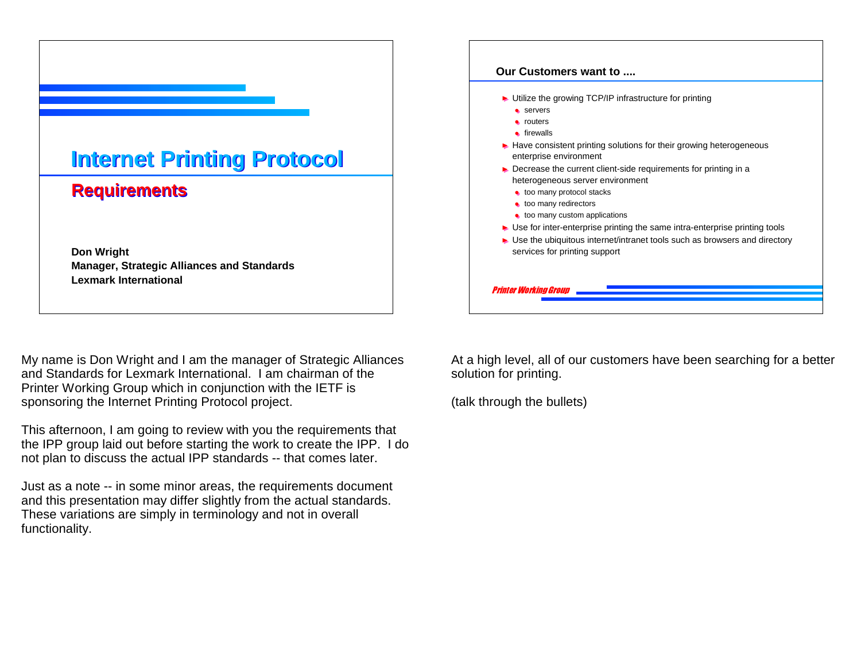

## **Requirements Requirements**

**Don Wright Manager, Strategic Alliances and Standards Lexmark International**

My name is Don Wright and I am the manager of Strategic Alliances and Standards for Lexmark International. I am chairman of the Printer Working Group which in conjunction with the IETF is sponsoring the Internet Printing Protocol project.

This afternoon, I am going to review with you the requirements that the IPP group laid out before starting the work to create the IPP. I do not plan to discuss the actual IPP standards -- that comes later.

Just as a note -- in some minor areas, the requirements document and this presentation may differ slightly from the actual standards. These variations are simply in terminology and not in overall functionality.



At a high level, all of our customers have been searching for a better solution for printing.

(talk through the bullets)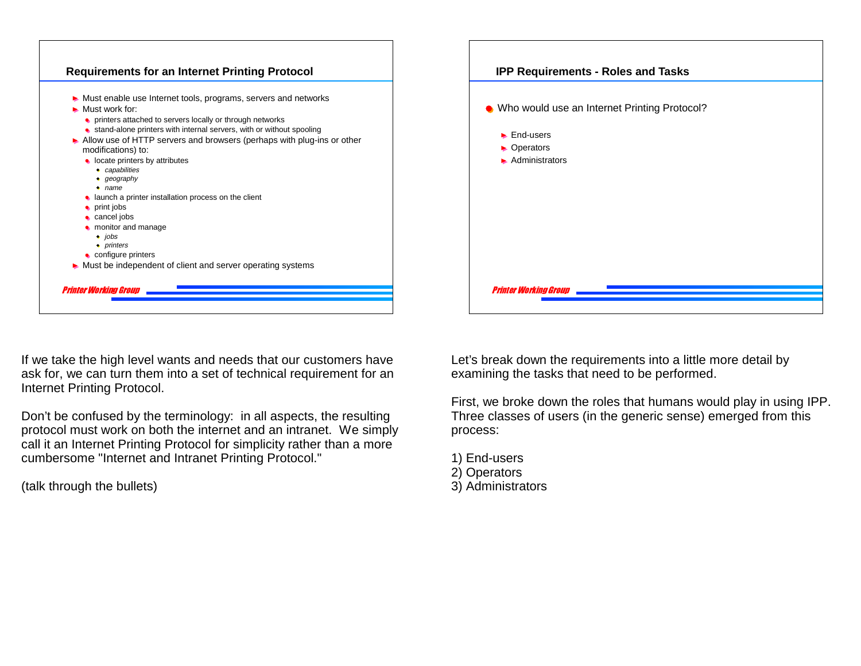

If we take the high level wants and needs that our customers have ask for, we can turn them into a set of technical requirement for an Internet Printing Protocol.

Don't be confused by the terminology: in all aspects, the resulting protocol must work on both the internet and an intranet. We simply call it an Internet Printing Protocol for simplicity rather than a more cumbersome "Internet and Intranet Printing Protocol."

(talk through the bullets)

| <b>IPP Requirements - Roles and Tasks</b>                                              |
|----------------------------------------------------------------------------------------|
| • Who would use an Internet Printing Protocol?                                         |
| $\blacktriangleright$ End-users<br>• Operators<br>$\blacktriangleright$ Administrators |
|                                                                                        |
| <b>Printer Working Group</b>                                                           |

Let's break down the requirements into a little more detail by examining the tasks that need to be performed.

First, we broke down the roles that humans would play in using IPP. Three classes of users (in the generic sense) emerged from this process:

- 1) End-users
- 2) Operators
- 3) Administrators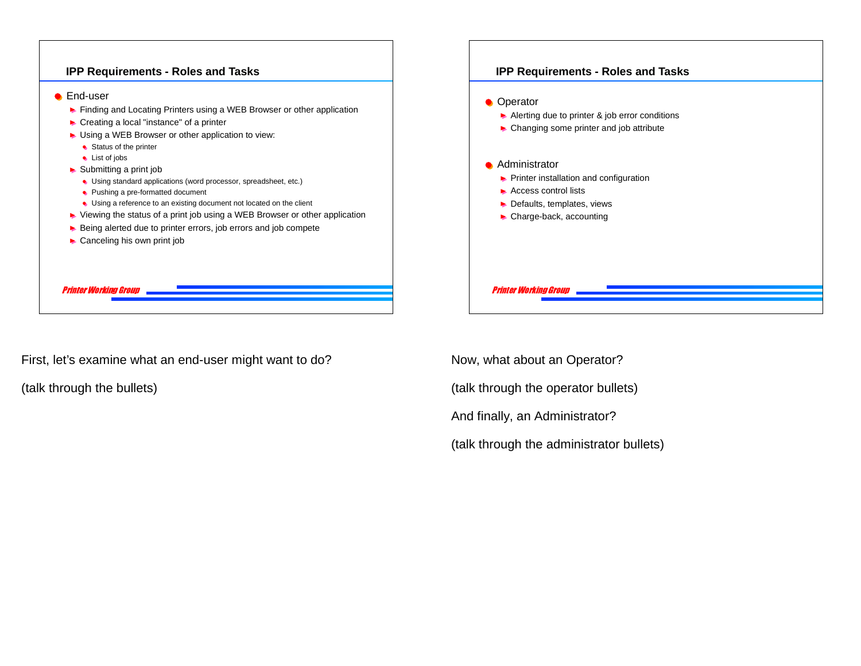

Now, what about an Operator?

And finally, an Administrator?

(talk through the operator bullets)

(talk through the administrator bullets)

First, let's examine what an end-user might want to do?

(talk through the bullets)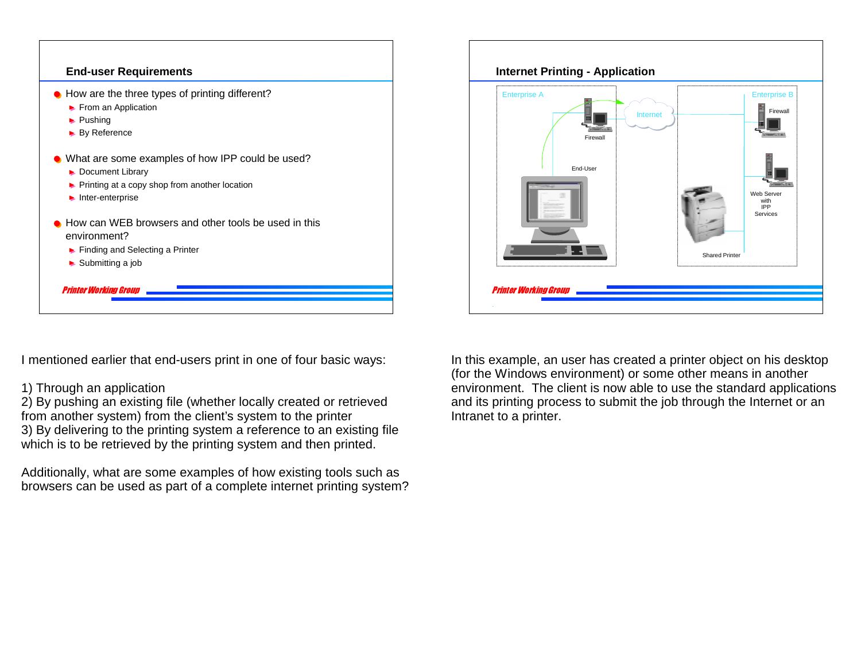

I mentioned earlier that end-users print in one of four basic ways:

1) Through an application

2) By pushing an existing file (whether locally created or retrieved from another system) from the client's system to the printer 3) By delivering to the printing system a reference to an existing file which is to be retrieved by the printing system and then printed.

Additionally, what are some examples of how existing tools such as browsers can be used as part of a complete internet printing system?



In this example, an user has created a printer object on his desktop (for the Windows environment) or some other means in another environment. The client is now able to use the standard applications and its printing process to submit the job through the Internet or an Intranet to a printer.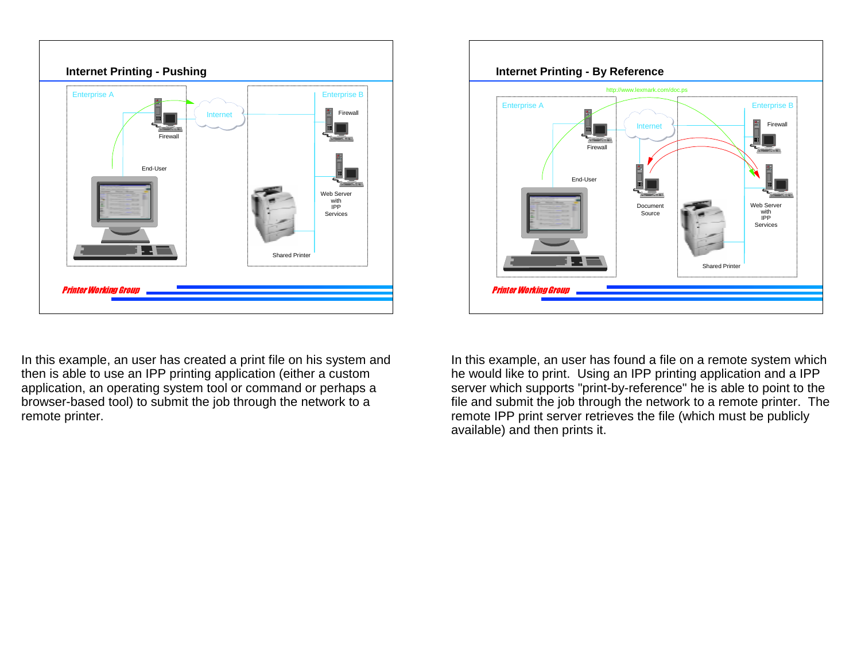

In this example, an user has created a print file on his system and then is able to use an IPP printing application (either a custom application, an operating system tool or command or perhaps a browser-based tool) to submit the job through the network to a remote printer.



In this example, an user has found a file on a remote system which he would like to print. Using an IPP printing application and a IPP server which supports "print-by-reference" he is able to point to the file and submit the job through the network to a remote printer. The remote IPP print server retrieves the file (which must be publicly available) and then prints it.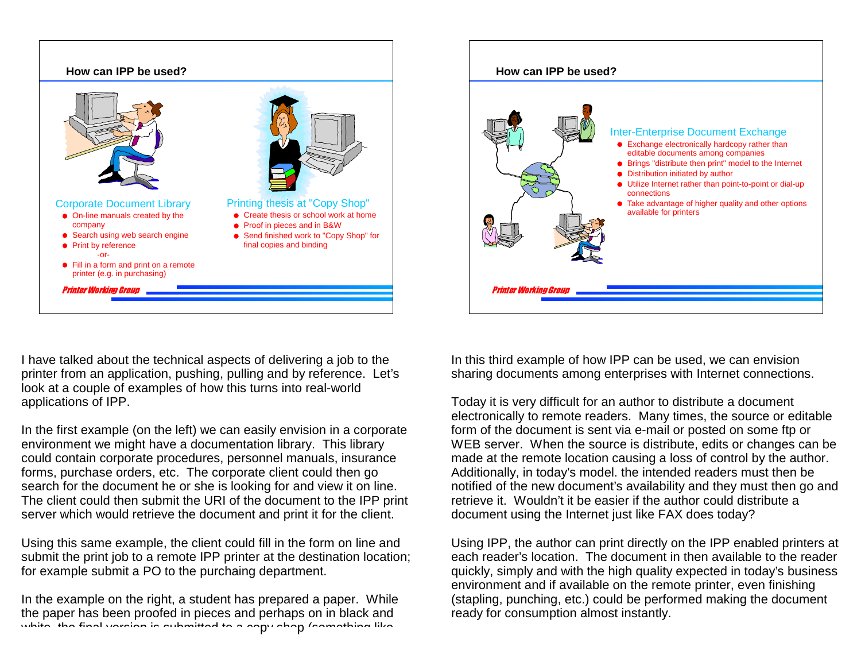



I have talked about the technical aspects of delivering a job to the printer from an application, pushing, pulling and by reference. Let's look at a couple of examples of how this turns into real-world applications of IPP.

In the first example (on the left) we can easily envision in a corporate environment we might have a documentation library. This library could contain corporate procedures, personnel manuals, insurance forms, purchase orders, etc. The corporate client could then go search for the document he or she is looking for and view it on line. The client could then submit the URI of the document to the IPP print server which would retrieve the document and print it for the client.

Using this same example, the client could fill in the form on line and submit the print job to a remote IPP printer at the destination location; for example submit a PO to the purchaing department.

In the example on the right, a student has prepared a paper. While the paper has been proofed in pieces and perhaps on in black and white the final version is submitted to a copy shop (something like

In this third example of how IPP can be used, we can envision sharing documents among enterprises with Internet connections.

Today it is very difficult for an author to distribute a document electronically to remote readers. Many times, the source or editable form of the document is sent via e-mail or posted on some ftp or WEB server. When the source is distribute, edits or changes can be made at the remote location causing a loss of control by the author. Additionally, in today's model. the intended readers must then be notified of the new document's availability and they must then go and retrieve it. Wouldn't it be easier if the author could distribute a document using the Internet just like FAX does today?

Using IPP, the author can print directly on the IPP enabled printers at each reader's location. The document in then available to the reader quickly, simply and with the high quality expected in today's business environment and if available on the remote printer, even finishing (stapling, punching, etc.) could be performed making the document ready for consumption almost instantly.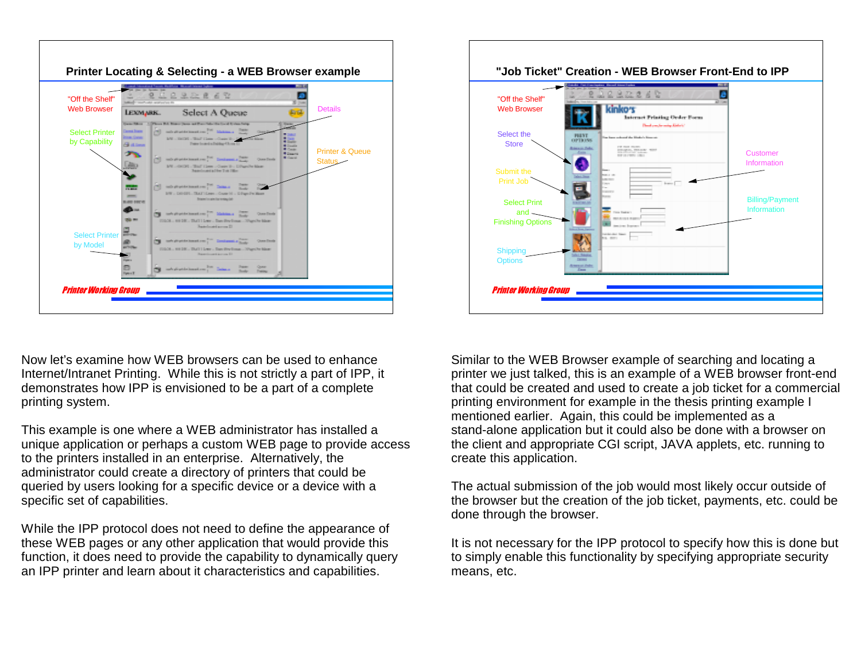

Now let's examine how WEB browsers can be used to enhance Internet/Intranet Printing. While this is not strictly a part of IPP, it demonstrates how IPP is envisioned to be a part of a complete printing system.

This example is one where a WEB administrator has installed a unique application or perhaps a custom WEB page to provide access to the printers installed in an enterprise. Alternatively, the administrator could create a directory of printers that could be queried by users looking for a specific device or a device with a specific set of capabilities.

While the IPP protocol does not need to define the appearance of these WEB pages or any other application that would provide this function, it does need to provide the capability to dynamically query an IPP printer and learn about it characteristics and capabilities.



Similar to the WEB Browser example of searching and locating a printer we just talked, this is an example of a WEB browser front-end that could be created and used to create a job ticket for a commercial printing environment for example in the thesis printing example I mentioned earlier. Again, this could be implemented as a stand-alone application but it could also be done with a browser on the client and appropriate CGI script, JAVA applets, etc. running to create this application.

The actual submission of the job would most likely occur outside of the browser but the creation of the job ticket, payments, etc. could be done through the browser.

It is not necessary for the IPP protocol to specify how this is done but to simply enable this functionality by specifying appropriate security means, etc.